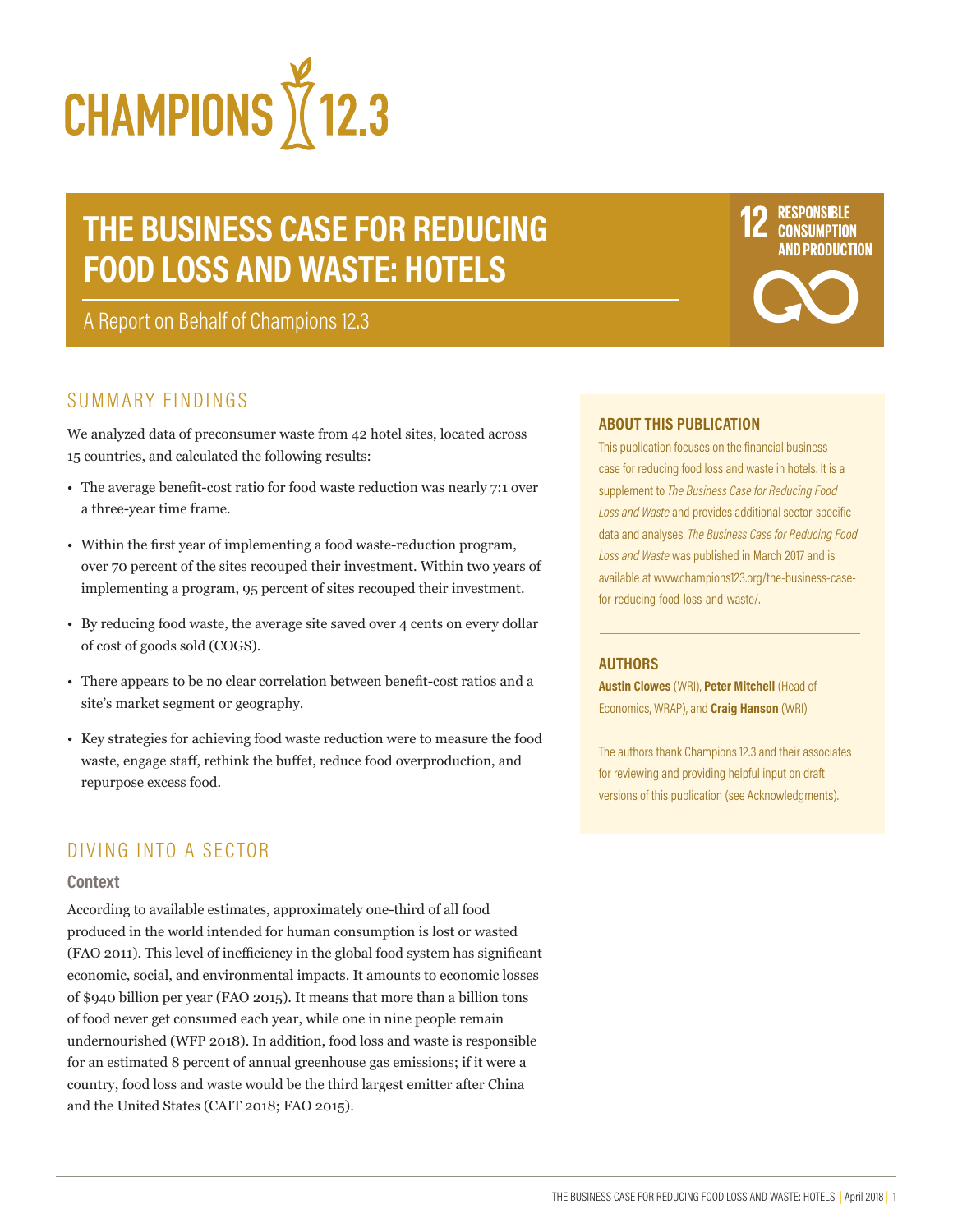

# **THE BUSINESS CASE FOR REDUCING FOOD LOSS AND WASTE: HOTELS**

A Report on Behalf of Champions 12.3

# SUMMARY FINDINGS

We analyzed data of preconsumer waste from 42 hotel sites, located across 15 countries, and calculated the following results:

- The average benefit-cost ratio for food waste reduction was nearly 7:1 over a three-year time frame.
- Within the first year of implementing a food waste-reduction program, over 70 percent of the sites recouped their investment. Within two years of implementing a program, 95 percent of sites recouped their investment.
- By reducing food waste, the average site saved over 4 cents on every dollar of cost of goods sold (COGS).
- There appears to be no clear correlation between benefit-cost ratios and a site's market segment or geography.
- Key strategies for achieving food waste reduction were to measure the food waste, engage staff, rethink the buffet, reduce food overproduction, and repurpose excess food.

# DIVING INTO A SECTOR

#### **Context**

According to available estimates, approximately one-third of all food produced in the world intended for human consumption is lost or wasted (FAO 2011). This level of inefficiency in the global food system has significant economic, social, and environmental impacts. It amounts to economic losses of \$940 billion per year (FAO 2015). It means that more than a billion tons of food never get consumed each year, while one in nine people remain undernourished (WFP 2018). In addition, food loss and waste is responsible for an estimated 8 percent of annual greenhouse gas emissions; if it were a country, food loss and waste would be the third largest emitter after China and the United States (CAIT 2018; FAO 2015).

#### **ABOUT THIS PUBLICATION**

This publication focuses on the financial business case for reducing food loss and waste in hotels. It is a supplement to *The Business Case for Reducing Food Loss and Waste* and provides additional sector-specific data and analyses. *The Business Case for Reducing Food Loss and Waste* was published in March 2017 and is available at www.champions123.org/the-business-casefor-reducing-food-loss-and-waste/.

#### **AUTHORS**

**Austin Clowes** (WRI), **Peter Mitchell** (Head of Economics, WRAP), and **Craig Hanson** (WRI)

The authors thank Champions 12.3 and their associates for reviewing and providing helpful input on draft versions of this publication (see Acknowledgments).

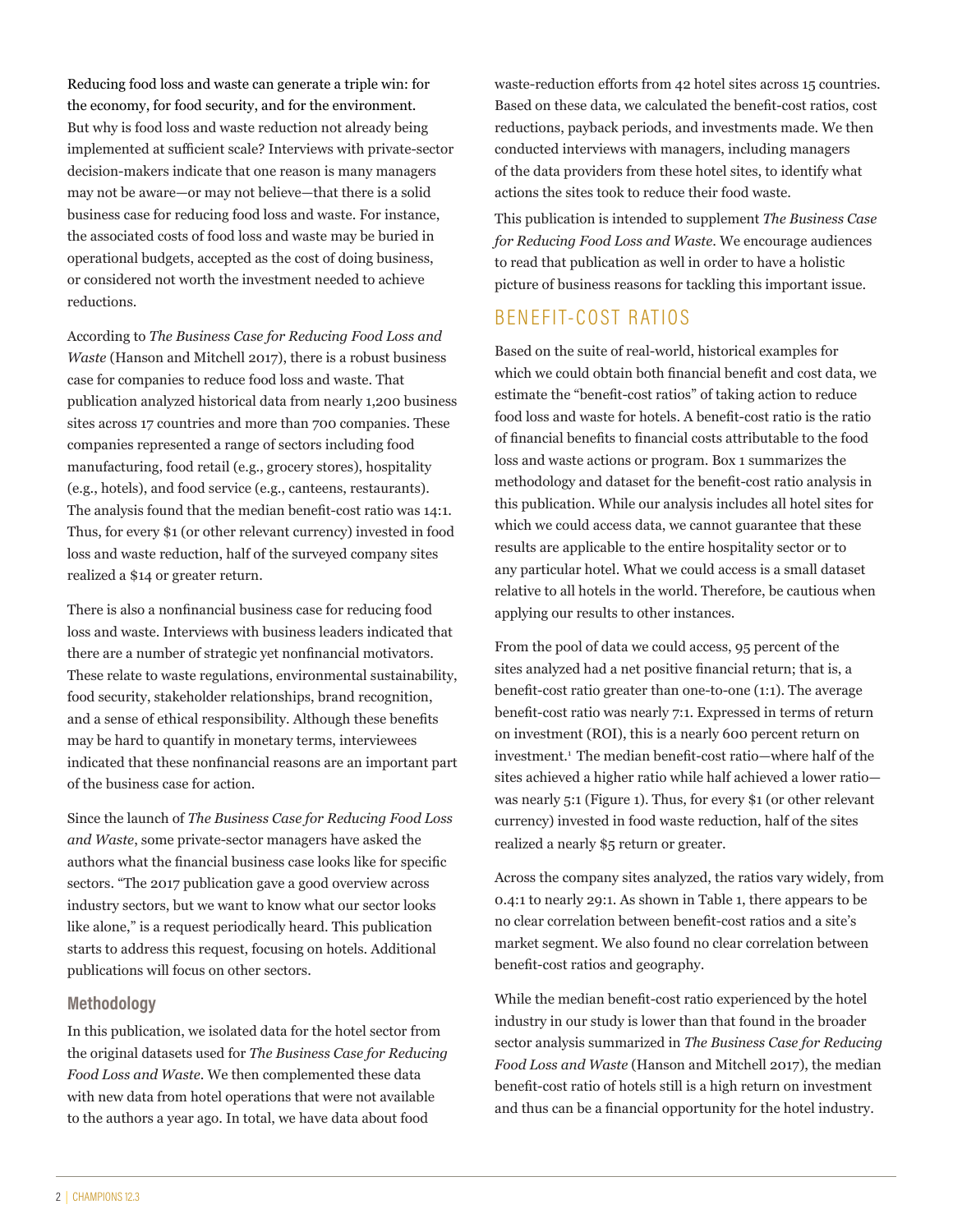Reducing food loss and waste can generate a triple win: for the economy, for food security, and for the environment. But why is food loss and waste reduction not already being implemented at sufficient scale? Interviews with private-sector decision-makers indicate that one reason is many managers may not be aware—or may not believe—that there is a solid business case for reducing food loss and waste. For instance, the associated costs of food loss and waste may be buried in operational budgets, accepted as the cost of doing business, or considered not worth the investment needed to achieve reductions.

According to *The Business Case for Reducing Food Loss and Waste* (Hanson and Mitchell 2017), there is a robust business case for companies to reduce food loss and waste. That publication analyzed historical data from nearly 1,200 business sites across 17 countries and more than 700 companies. These companies represented a range of sectors including food manufacturing, food retail (e.g., grocery stores), hospitality (e.g., hotels), and food service (e.g., canteens, restaurants). The analysis found that the median benefit-cost ratio was 14:1. Thus, for every \$1 (or other relevant currency) invested in food loss and waste reduction, half of the surveyed company sites realized a \$14 or greater return.

There is also a nonfinancial business case for reducing food loss and waste. Interviews with business leaders indicated that there are a number of strategic yet nonfinancial motivators. These relate to waste regulations, environmental sustainability, food security, stakeholder relationships, brand recognition, and a sense of ethical responsibility. Although these benefits may be hard to quantify in monetary terms, interviewees indicated that these nonfinancial reasons are an important part of the business case for action.

Since the launch of *The Business Case for Reducing Food Loss and Waste*, some private-sector managers have asked the authors what the financial business case looks like for specific sectors. "The 2017 publication gave a good overview across industry sectors, but we want to know what our sector looks like alone," is a request periodically heard. This publication starts to address this request, focusing on hotels. Additional publications will focus on other sectors.

#### **Methodology**

In this publication, we isolated data for the hotel sector from the original datasets used for *The Business Case for Reducing Food Loss and Waste*. We then complemented these data with new data from hotel operations that were not available to the authors a year ago. In total, we have data about food

waste-reduction efforts from 42 hotel sites across 15 countries. Based on these data, we calculated the benefit-cost ratios, cost reductions, payback periods, and investments made. We then conducted interviews with managers, including managers of the data providers from these hotel sites, to identify what actions the sites took to reduce their food waste.

This publication is intended to supplement *The Business Case for Reducing Food Loss and Waste*. We encourage audiences to read that publication as well in order to have a holistic picture of business reasons for tackling this important issue.

# BENEFIT-COST RATIOS

Based on the suite of real-world, historical examples for which we could obtain both financial benefit and cost data, we estimate the "benefit-cost ratios" of taking action to reduce food loss and waste for hotels. A benefit-cost ratio is the ratio of financial benefits to financial costs attributable to the food loss and waste actions or program. Box 1 summarizes the methodology and dataset for the benefit-cost ratio analysis in this publication. While our analysis includes all hotel sites for which we could access data, we cannot guarantee that these results are applicable to the entire hospitality sector or to any particular hotel. What we could access is a small dataset relative to all hotels in the world. Therefore, be cautious when applying our results to other instances.

From the pool of data we could access, 95 percent of the sites analyzed had a net positive financial return; that is, a benefit-cost ratio greater than one-to-one (1:1). The average benefit-cost ratio was nearly 7:1. Expressed in terms of return on investment (ROI), this is a nearly 600 percent return on investment.<sup>1</sup> The median benefit-cost ratio—where half of the sites achieved a higher ratio while half achieved a lower ratio was nearly 5:1 (Figure 1). Thus, for every \$1 (or other relevant currency) invested in food waste reduction, half of the sites realized a nearly \$5 return or greater.

Across the company sites analyzed, the ratios vary widely, from 0.4:1 to nearly 29:1. As shown in Table 1, there appears to be no clear correlation between benefit-cost ratios and a site's market segment. We also found no clear correlation between benefit-cost ratios and geography.

While the median benefit-cost ratio experienced by the hotel industry in our study is lower than that found in the broader sector analysis summarized in *The Business Case for Reducing Food Loss and Waste* (Hanson and Mitchell 2017), the median benefit-cost ratio of hotels still is a high return on investment and thus can be a financial opportunity for the hotel industry.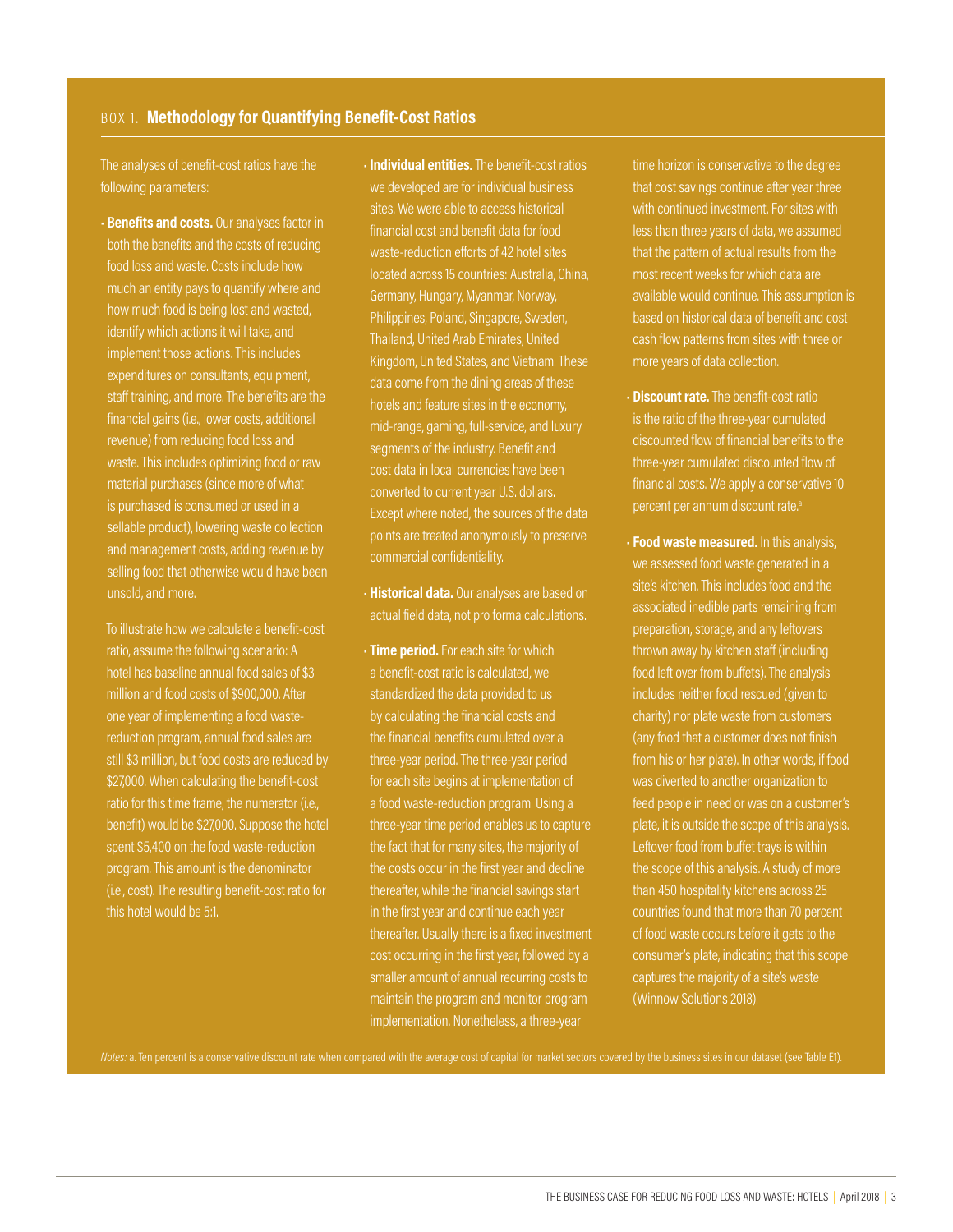#### BOX 1. **Methodology for Quantifying Benefit-Cost Ratios**

The analyses of benefit-cost ratios have the following parameters:

• **Benefits and costs.** Our analyses factor in both the benefits and the costs of reducing food loss and waste. Costs include how much an entity pays to quantify where and how much food is being lost and wasted, identify which actions it will take, and implement those actions. This includes expenditures on consultants, equipment, staff training, and more. The benefits are the financial gains (i.e., lower costs, additional revenue) from reducing food loss and waste. This includes optimizing food or raw material purchases (since more of what is purchased is consumed or used in a sellable product), lowering waste collection and management costs, adding revenue by selling food that otherwise would have been unsold, and more.

 To illustrate how we calculate a benefit-cost ratio, assume the following scenario: A hotel has baseline annual food sales of \$3 million and food costs of \$900,000. After one year of implementing a food wastereduction program, annual food sales are still \$3 million, but food costs are reduced by \$27,000. When calculating the benefit-cost benefit) would be \$27,000. Suppose the hotel spent \$5,400 on the food waste-reduction program. This amount is the denominator (i.e., cost). The resulting benefit-cost ratio for this hotel would be 5:1.

- **Individual entities.** The benefit-cost ratios we developed are for individual business sites. We were able to access historical financial cost and benefit data for food waste-reduction efforts of 42 hotel sites located across 15 countries: Australia, China, Germany, Hungary, Myanmar, Norway, Philippines, Poland, Singapore, Sweden, Thailand, United Arab Emirates, United Kingdom, United States, and Vietnam. These data come from the dining areas of these hotels and feature sites in the economy, mid-range, gaming, full-service, and luxury segments of the industry. Benefit and cost data in local currencies have been converted to current year U.S. dollars. Except where noted, the sources of the data points are treated anonymously to preserve commercial confidentiality.
- **Historical data.** Our analyses are based on actual field data, not pro forma calculations.
- **Time period.** For each site for which a benefit-cost ratio is calculated, we standardized the data provided to us by calculating the financial costs and the financial benefits cumulated over a three-year period. The three-year period for each site begins at implementation of a food waste-reduction program. Using a three-year time period enables us to capture the fact that for many sites, the majority of the costs occur in the first year and decline thereafter, while the financial savings start in the first year and continue each year thereafter. Usually there is a fixed investment cost occurring in the first year, followed by a smaller amount of annual recurring costs to maintain the program and monitor program implementation. Nonetheless, a three-year

time horizon is conservative to the degree that cost savings continue after year three with continued investment. For sites with less than three years of data, we assumed that the pattern of actual results from the most recent weeks for which data are available would continue. This assumption is based on historical data of benefit and cost cash flow patterns from sites with three or more years of data collection.

- **Discount rate.** The benefit-cost ratio is the ratio of the three-year cumulated discounted flow of financial benefits to the three-year cumulated discounted flow of financial costs. We apply a conservative 10 percent per annum discount rate.<sup>a</sup>
- **Food waste measured.** In this analysis, we assessed food waste generated in a site's kitchen. This includes food and the associated inedible parts remaining from preparation, storage, and any leftovers thrown away by kitchen staff (including food left over from buffets). The analysis includes neither food rescued (given to charity) nor plate waste from customers (any food that a customer does not finish from his or her plate). In other words, if food was diverted to another organization to feed people in need or was on a customer's plate, it is outside the scope of this analysis. Leftover food from buffet trays is within the scope of this analysis. A study of more than 450 hospitality kitchens across 25 countries found that more than 70 percent of food waste occurs before it gets to the consumer's plate, indicating that this scope captures the majority of a site's waste (Winnow Solutions 2018).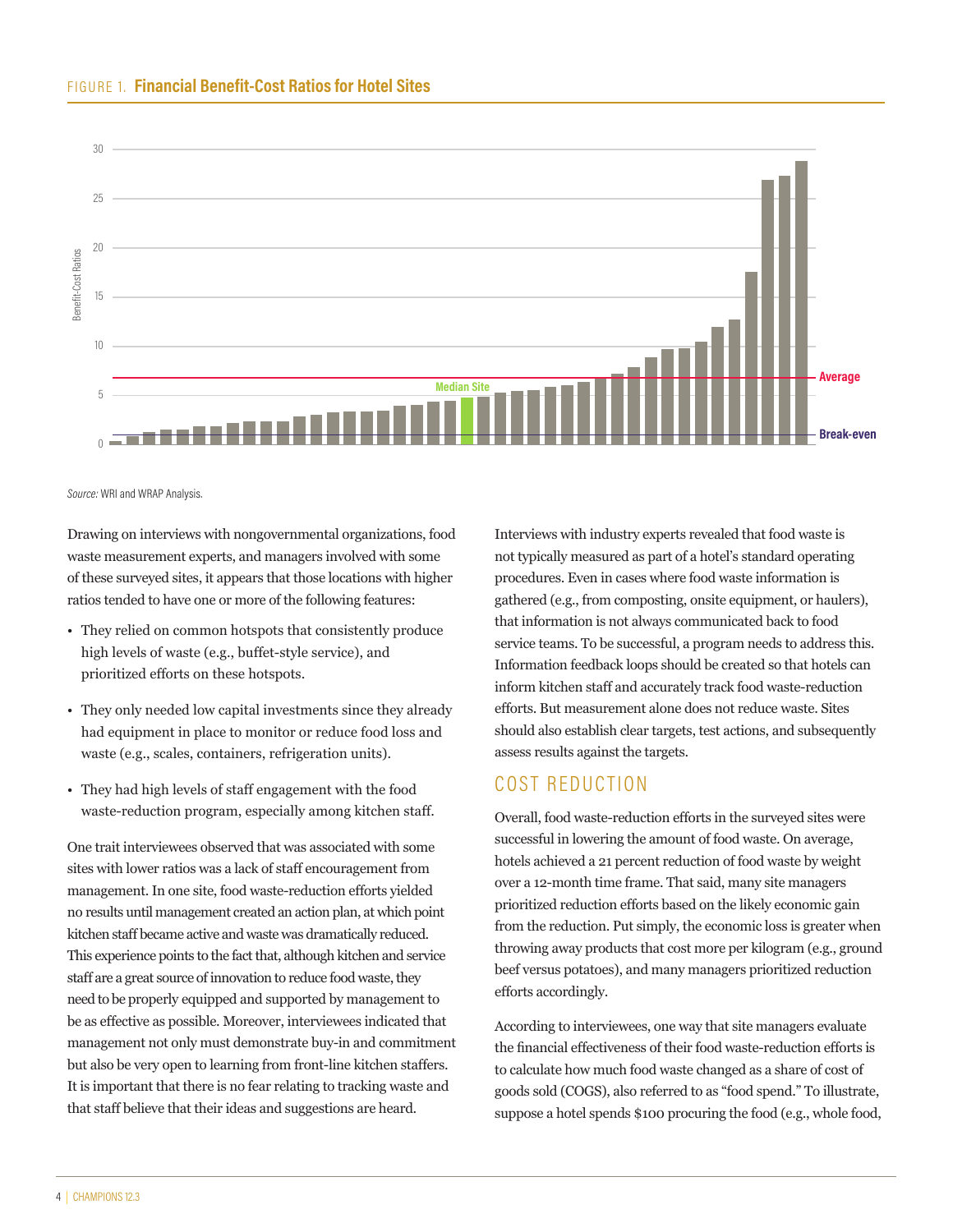

*Source:* WRI and WRAP Analysis.

Drawing on interviews with nongovernmental organizations, food waste measurement experts, and managers involved with some of these surveyed sites, it appears that those locations with higher ratios tended to have one or more of the following features:

- They relied on common hotspots that consistently produce high levels of waste (e.g., buffet-style service), and prioritized efforts on these hotspots.
- They only needed low capital investments since they already had equipment in place to monitor or reduce food loss and waste (e.g., scales, containers, refrigeration units).
- They had high levels of staff engagement with the food waste-reduction program, especially among kitchen staff.

One trait interviewees observed that was associated with some sites with lower ratios was a lack of staff encouragement from management. In one site, food waste-reduction efforts yielded no results until management created an action plan, at which point kitchen staff became active and waste was dramatically reduced. This experience points to the fact that, although kitchen and service staff are a great source of innovation to reduce food waste, they need to be properly equipped and supported by management to be as effective as possible. Moreover, interviewees indicated that management not only must demonstrate buy-in and commitment but also be very open to learning from front-line kitchen staffers. It is important that there is no fear relating to tracking waste and that staff believe that their ideas and suggestions are heard.

Interviews with industry experts revealed that food waste is not typically measured as part of a hotel's standard operating procedures. Even in cases where food waste information is gathered (e.g., from composting, onsite equipment, or haulers), that information is not always communicated back to food service teams. To be successful, a program needs to address this. Information feedback loops should be created so that hotels can inform kitchen staff and accurately track food waste-reduction efforts. But measurement alone does not reduce waste. Sites should also establish clear targets, test actions, and subsequently assess results against the targets.

## COST REDUCTION

Overall, food waste-reduction efforts in the surveyed sites were successful in lowering the amount of food waste. On average, hotels achieved a 21 percent reduction of food waste by weight over a 12-month time frame. That said, many site managers prioritized reduction efforts based on the likely economic gain from the reduction. Put simply, the economic loss is greater when throwing away products that cost more per kilogram (e.g., ground beef versus potatoes), and many managers prioritized reduction efforts accordingly.

According to interviewees, one way that site managers evaluate the financial effectiveness of their food waste-reduction efforts is to calculate how much food waste changed as a share of cost of goods sold (COGS), also referred to as "food spend." To illustrate, suppose a hotel spends \$100 procuring the food (e.g., whole food,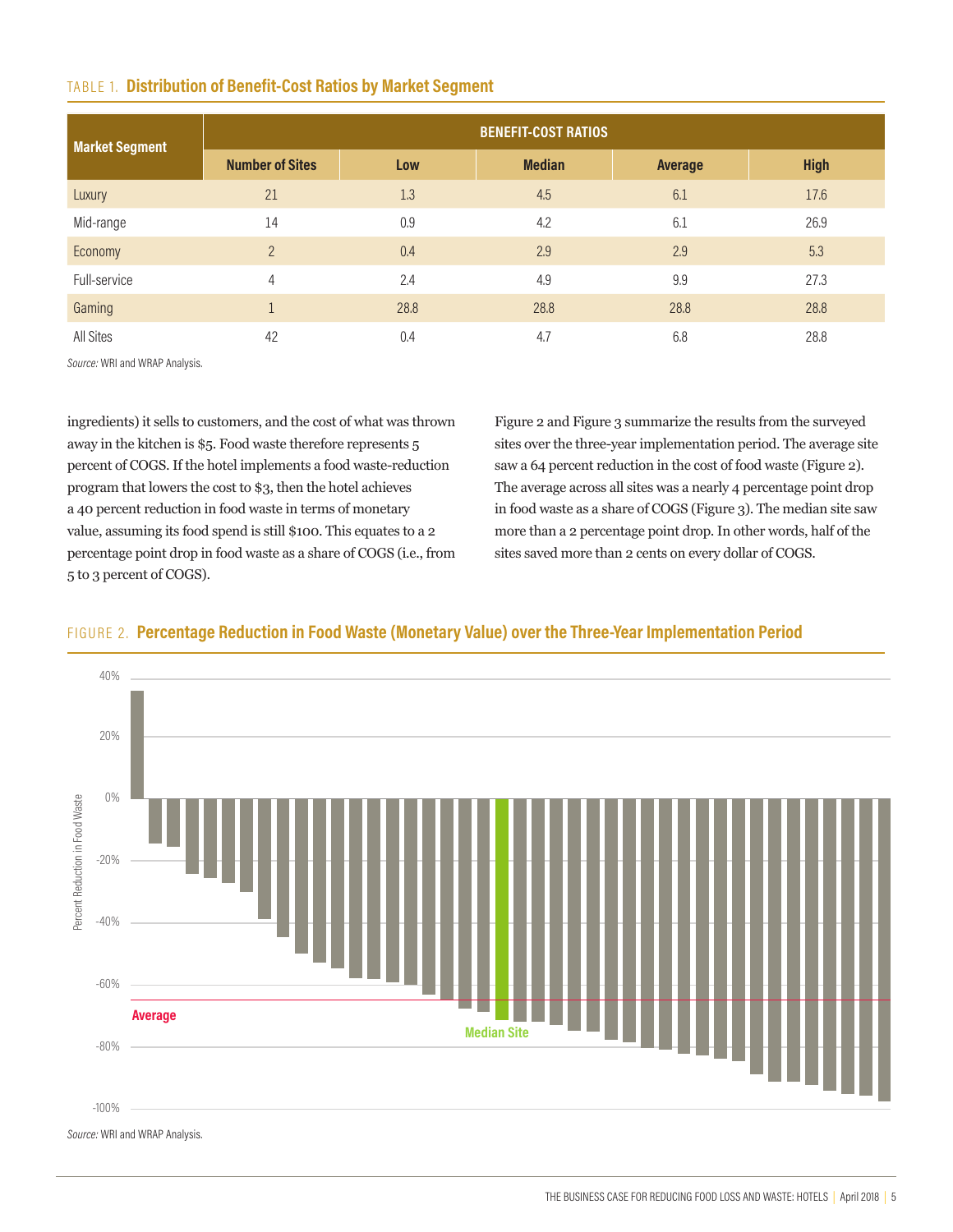#### TABLE 1. **Distribution of Benefit-Cost Ratios by Market Segment**

| <b>Market Segment</b> | <b>BENEFIT-COST RATIOS</b> |      |               |         |             |  |
|-----------------------|----------------------------|------|---------------|---------|-------------|--|
|                       | <b>Number of Sites</b>     | Low  | <b>Median</b> | Average | <b>High</b> |  |
| Luxury                | 21                         | 1.3  | 4.5           | 6.1     | 17.6        |  |
| Mid-range             | 14                         | 0.9  | 4.2           | 6.1     | 26.9        |  |
| Economy               | $\overline{2}$             | 0.4  | 2.9           | 2.9     | 5.3         |  |
| Full-service          | $\overline{4}$             | 2.4  | 4.9           | 9.9     | 27.3        |  |
| Gaming                |                            | 28.8 | 28.8          | 28.8    | 28.8        |  |
| <b>All Sites</b>      | 42                         | 0.4  | 4.7           | 6.8     | 28.8        |  |

*Source:* WRI and WRAP Analysis.

ingredients) it sells to customers, and the cost of what was thrown away in the kitchen is \$5. Food waste therefore represents 5 percent of COGS. If the hotel implements a food waste-reduction program that lowers the cost to \$3, then the hotel achieves a 40 percent reduction in food waste in terms of monetary value, assuming its food spend is still \$100. This equates to a 2 percentage point drop in food waste as a share of COGS (i.e., from 5 to 3 percent of COGS).

Figure 2 and Figure 3 summarize the results from the surveyed sites over the three-year implementation period. The average site saw a 64 percent reduction in the cost of food waste (Figure 2). The average across all sites was a nearly 4 percentage point drop in food waste as a share of COGS (Figure 3). The median site saw more than a 2 percentage point drop. In other words, half of the sites saved more than 2 cents on every dollar of COGS.



#### FIGURE 2. **Percentage Reduction in Food Waste (Monetary Value) over the Three-Year Implementation Period**

*Source:* WRI and WRAP Analysis.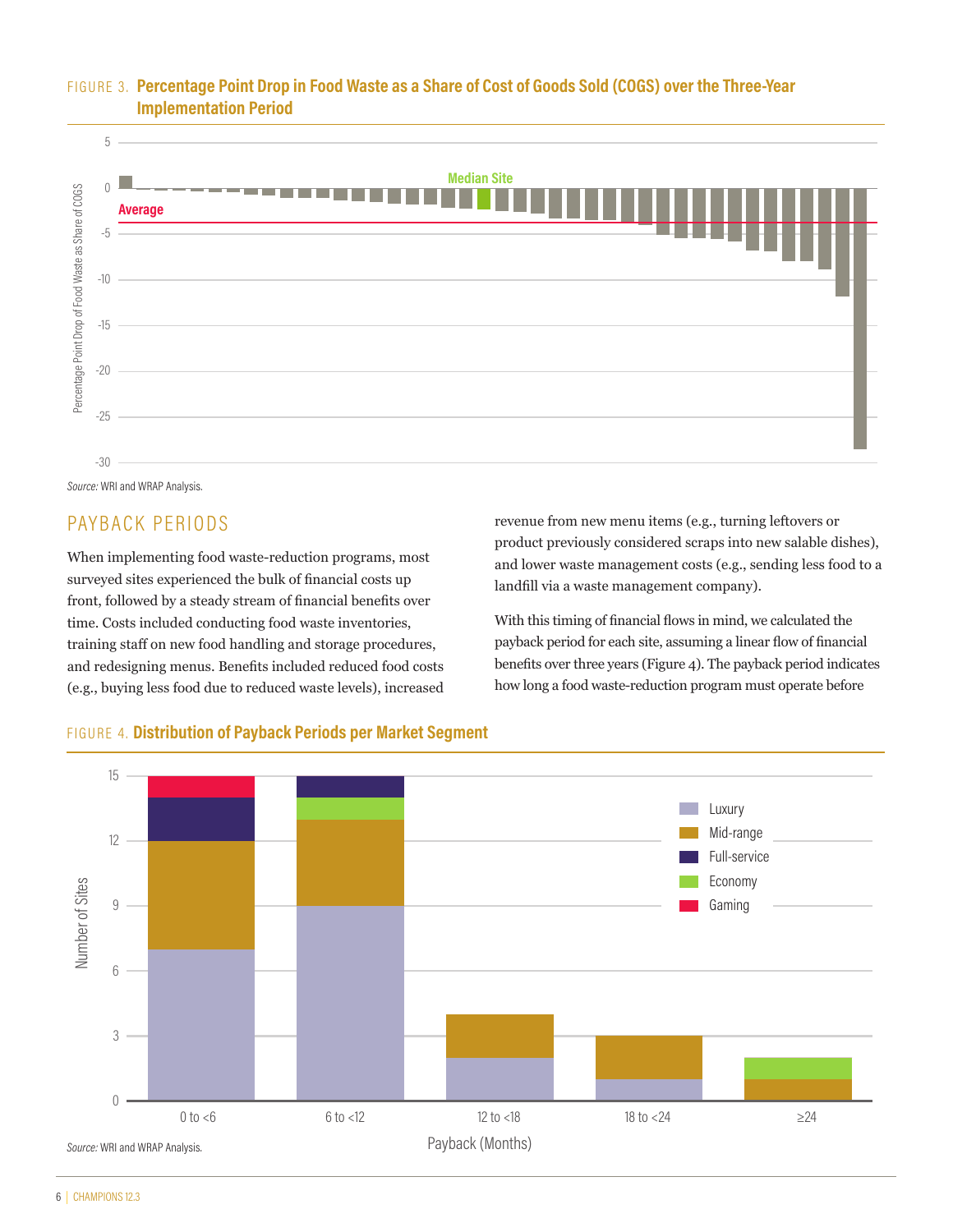### FIGURE 3. **Percentage Point Drop in Food Waste as a Share of Cost of Goods Sold (COGS) over the Three-Year Implementation Period**



*Source:* WRI and WRAP Analysis.

# PAYBACK PERIODS

When implementing food waste-reduction programs, most surveyed sites experienced the bulk of financial costs up front, followed by a steady stream of financial benefits over time. Costs included conducting food waste inventories, training staff on new food handling and storage procedures, and redesigning menus. Benefits included reduced food costs (e.g., buying less food due to reduced waste levels), increased

revenue from new menu items (e.g., turning leftovers or product previously considered scraps into new salable dishes), and lower waste management costs (e.g., sending less food to a landfill via a waste management company).

With this timing of financial flows in mind, we calculated the payback period for each site, assuming a linear flow of financial benefits over three years (Figure 4). The payback period indicates how long a food waste-reduction program must operate before



#### FIGURE 4. **Distribution of Payback Periods per Market Segment**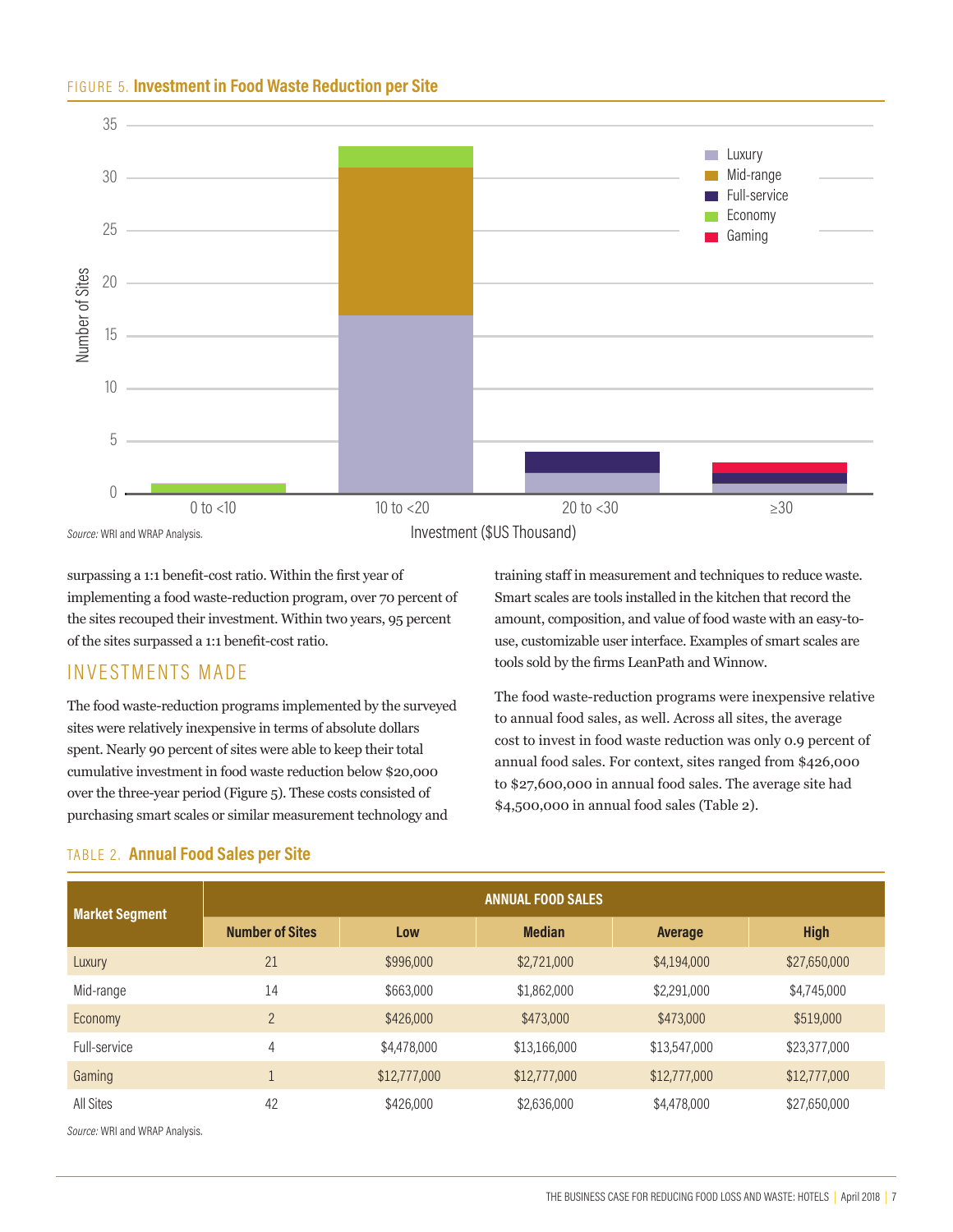#### FIGURE 5. **Investment in Food Waste Reduction per Site**



surpassing a 1:1 benefit-cost ratio. Within the first year of implementing a food waste-reduction program, over 70 percent of the sites recouped their investment. Within two years, 95 percent of the sites surpassed a 1:1 benefit-cost ratio.

# INVESTMENTS MADE

The food waste-reduction programs implemented by the surveyed sites were relatively inexpensive in terms of absolute dollars spent. Nearly 90 percent of sites were able to keep their total cumulative investment in food waste reduction below \$20,000 over the three-year period (Figure 5). These costs consisted of purchasing smart scales or similar measurement technology and

#### TABLE 2. **Annual Food Sales per Site**

training staff in measurement and techniques to reduce waste. Smart scales are tools installed in the kitchen that record the amount, composition, and value of food waste with an easy-touse, customizable user interface. Examples of smart scales are tools sold by the firms LeanPath and Winnow.

The food waste-reduction programs were inexpensive relative to annual food sales, as well. Across all sites, the average cost to invest in food waste reduction was only 0.9 percent of annual food sales. For context, sites ranged from \$426,000 to \$27,600,000 in annual food sales. The average site had \$4,500,000 in annual food sales (Table 2).

| <b>Market Segment</b> | <b>ANNUAL FOOD SALES</b> |              |               |              |              |  |
|-----------------------|--------------------------|--------------|---------------|--------------|--------------|--|
|                       | <b>Number of Sites</b>   | Low          | <b>Median</b> | Average      | <b>High</b>  |  |
| Luxury                | 21                       | \$996,000    | \$2,721,000   | \$4,194,000  | \$27,650,000 |  |
| Mid-range             | 14                       | \$663,000    | \$1,862,000   | \$2,291,000  | \$4,745,000  |  |
| Economy               | $\overline{2}$           | \$426,000    | \$473,000     | \$473,000    | \$519,000    |  |
| Full-service          | 4                        | \$4,478,000  | \$13,166,000  | \$13,547,000 | \$23,377,000 |  |
| Gaming                |                          | \$12,777,000 | \$12,777,000  | \$12,777,000 | \$12,777,000 |  |
| All Sites             | 42                       | \$426,000    | \$2,636,000   | \$4,478,000  | \$27,650,000 |  |

*Source:* WRI and WRAP Analysis.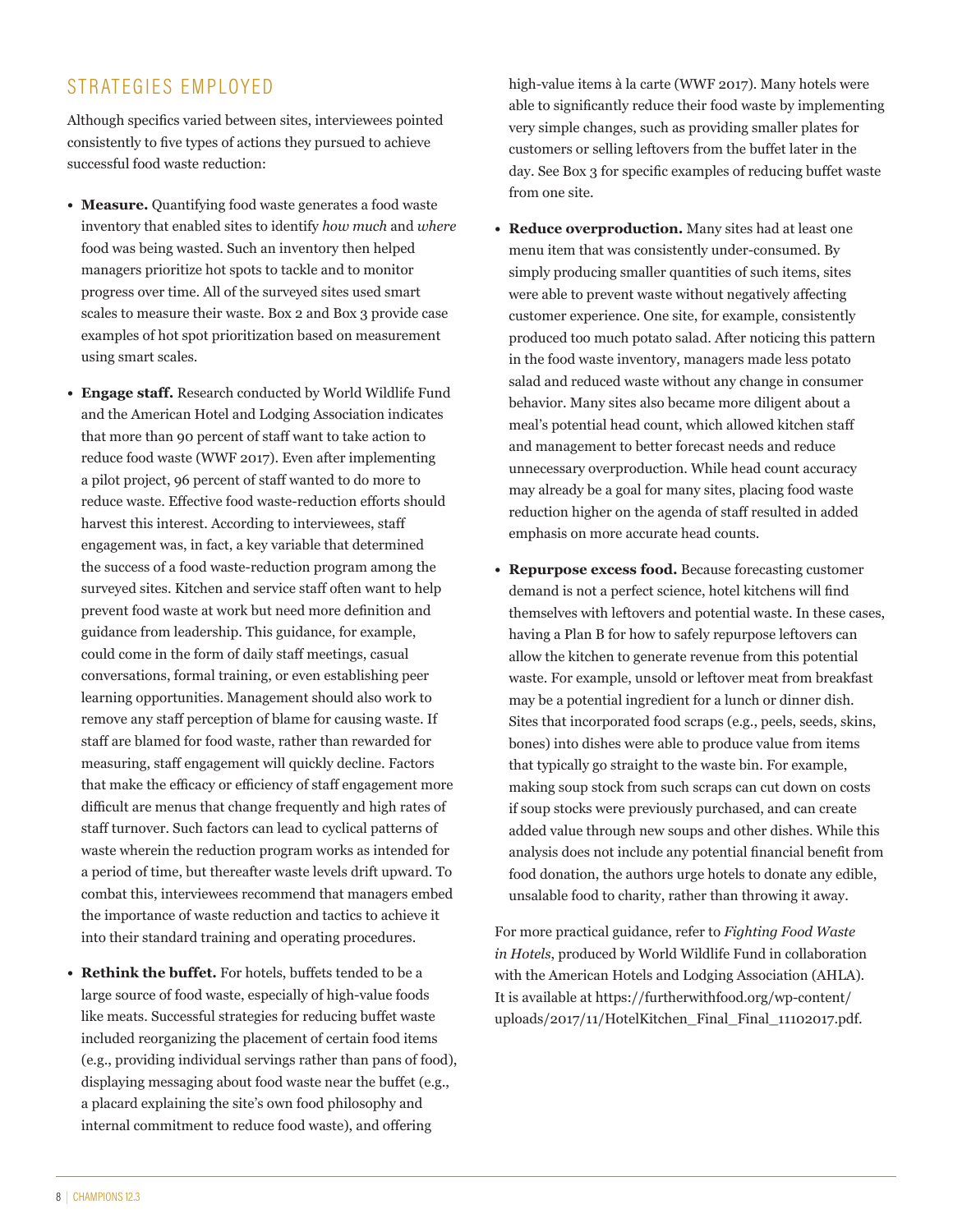# STRATEGIES EMPLOYED

Although specifics varied between sites, interviewees pointed consistently to five types of actions they pursued to achieve successful food waste reduction:

- **• Measure.** Quantifying food waste generates a food waste inventory that enabled sites to identify *how much* and *where* food was being wasted. Such an inventory then helped managers prioritize hot spots to tackle and to monitor progress over time. All of the surveyed sites used smart scales to measure their waste. Box 2 and Box 3 provide case examples of hot spot prioritization based on measurement using smart scales.
- **• Engage staff.** Research conducted by World Wildlife Fund and the American Hotel and Lodging Association indicates that more than 90 percent of staff want to take action to reduce food waste (WWF 2017). Even after implementing a pilot project, 96 percent of staff wanted to do more to reduce waste. Effective food waste-reduction efforts should harvest this interest. According to interviewees, staff engagement was, in fact, a key variable that determined the success of a food waste-reduction program among the surveyed sites. Kitchen and service staff often want to help prevent food waste at work but need more definition and guidance from leadership. This guidance, for example, could come in the form of daily staff meetings, casual conversations, formal training, or even establishing peer learning opportunities. Management should also work to remove any staff perception of blame for causing waste. If staff are blamed for food waste, rather than rewarded for measuring, staff engagement will quickly decline. Factors that make the efficacy or efficiency of staff engagement more difficult are menus that change frequently and high rates of staff turnover. Such factors can lead to cyclical patterns of waste wherein the reduction program works as intended for a period of time, but thereafter waste levels drift upward. To combat this, interviewees recommend that managers embed the importance of waste reduction and tactics to achieve it into their standard training and operating procedures.
- **• Rethink the buffet.** For hotels, buffets tended to be a large source of food waste, especially of high-value foods like meats. Successful strategies for reducing buffet waste included reorganizing the placement of certain food items (e.g., providing individual servings rather than pans of food), displaying messaging about food waste near the buffet (e.g., a placard explaining the site's own food philosophy and internal commitment to reduce food waste), and offering

high-value items à la carte (WWF 2017). Many hotels were able to significantly reduce their food waste by implementing very simple changes, such as providing smaller plates for customers or selling leftovers from the buffet later in the day. See Box 3 for specific examples of reducing buffet waste from one site.

- **• Reduce overproduction.** Many sites had at least one menu item that was consistently under-consumed. By simply producing smaller quantities of such items, sites were able to prevent waste without negatively affecting customer experience. One site, for example, consistently produced too much potato salad. After noticing this pattern in the food waste inventory, managers made less potato salad and reduced waste without any change in consumer behavior. Many sites also became more diligent about a meal's potential head count, which allowed kitchen staff and management to better forecast needs and reduce unnecessary overproduction. While head count accuracy may already be a goal for many sites, placing food waste reduction higher on the agenda of staff resulted in added emphasis on more accurate head counts.
- **• Repurpose excess food.** Because forecasting customer demand is not a perfect science, hotel kitchens will find themselves with leftovers and potential waste. In these cases, having a Plan B for how to safely repurpose leftovers can allow the kitchen to generate revenue from this potential waste. For example, unsold or leftover meat from breakfast may be a potential ingredient for a lunch or dinner dish. Sites that incorporated food scraps (e.g., peels, seeds, skins, bones) into dishes were able to produce value from items that typically go straight to the waste bin. For example, making soup stock from such scraps can cut down on costs if soup stocks were previously purchased, and can create added value through new soups and other dishes. While this analysis does not include any potential financial benefit from food donation, the authors urge hotels to donate any edible, unsalable food to charity, rather than throwing it away.

For more practical guidance, refer to *Fighting Food Waste in Hotels*, produced by World Wildlife Fund in collaboration with the American Hotels and Lodging Association (AHLA). It is available at https://furtherwithfood.org/wp-content/ uploads/2017/11/HotelKitchen\_Final\_Final\_11102017.pdf.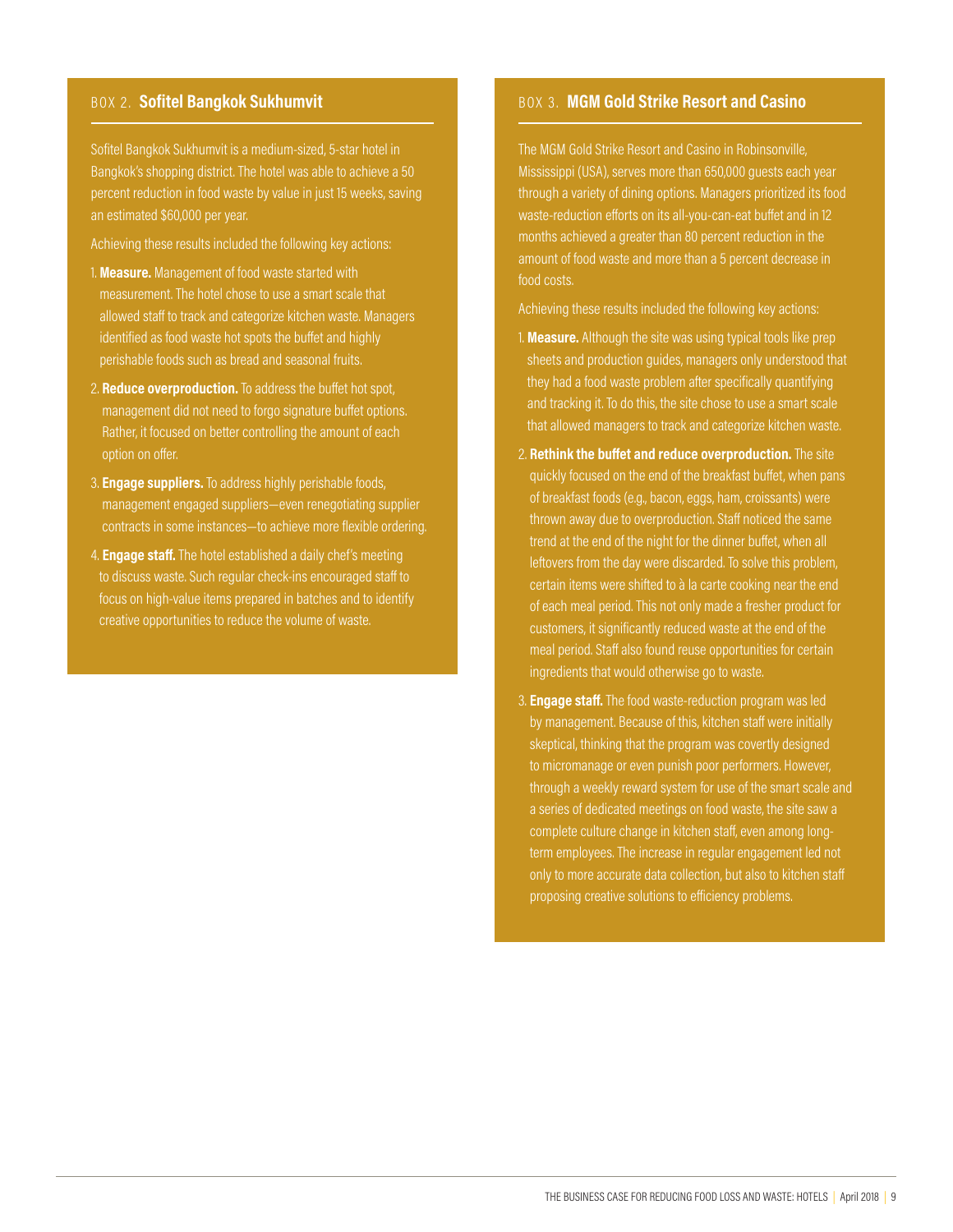Sofitel Bangkok Sukhumvit is a medium-sized, 5-star hotel in Bangkok's shopping district. The hotel was able to achieve a 50 percent reduction in food waste by value in just 15 weeks, saving an estimated \$60,000 per year.

Achieving these results included the following key actions:

- 1. **Measure.** Management of food waste started with measurement. The hotel chose to use a smart scale that allowed staff to track and categorize kitchen waste. Managers identified as food waste hot spots the buffet and highly perishable foods such as bread and seasonal fruits.
- 2. **Reduce overproduction.** To address the buffet hot spot, management did not need to forgo signature buffet options. Rather, it focused on better controlling the amount of each
- 3. **Engage suppliers.** To address highly perishable foods, management engaged suppliers—even renegotiating supplier contracts in some instances—to achieve more flexible ordering.
- 4. **Engage staff.** The hotel established a daily chef's meeting to discuss waste. Such regular check-ins encouraged staff to focus on high-value items prepared in batches and to identify creative opportunities to reduce the volume of waste.

#### BOX 2. Sofitel Bangkok Sukhumvit **BOX 3. MGM Gold Strike Resort and Casino**

The MGM Gold Strike Resort and Casino in Robinsonville, Mississippi (USA), serves more than 650,000 guests each year through a variety of dining options. Managers prioritized its food waste-reduction efforts on its all-you-can-eat buffet and in 12 months achieved a greater than 80 percent reduction in the amount of food waste and more than a 5 percent decrease in food costs.

Achieving these results included the following key actions:

- 1. **Measure.** Although the site was using typical tools like prep sheets and production guides, managers only understood that they had a food waste problem after specifically quantifying and tracking it. To do this, the site chose to use a smart scale that allowed managers to track and categorize kitchen waste.
- 2. **Rethink the buffet and reduce overproduction.** The site quickly focused on the end of the breakfast buffet, when pans of breakfast foods (e.g., bacon, eggs, ham, croissants) were thrown away due to overproduction. Staff noticed the same trend at the end of the night for the dinner buffet, when all leftovers from the day were discarded. To solve this problem, certain items were shifted to à la carte cooking near the end of each meal period. This not only made a fresher product for customers, it significantly reduced waste at the end of the meal period. Staff also found reuse opportunities for certain ingredients that would otherwise go to waste.
- 3. **Engage staff.** The food waste-reduction program was led by management. Because of this, kitchen staff were initially skeptical, thinking that the program was covertly designed to micromanage or even punish poor performers. However, through a weekly reward system for use of the smart scale and a series of dedicated meetings on food waste, the site saw a complete culture change in kitchen staff, even among longterm employees. The increase in regular engagement led not only to more accurate data collection, but also to kitchen staff proposing creative solutions to efficiency problems.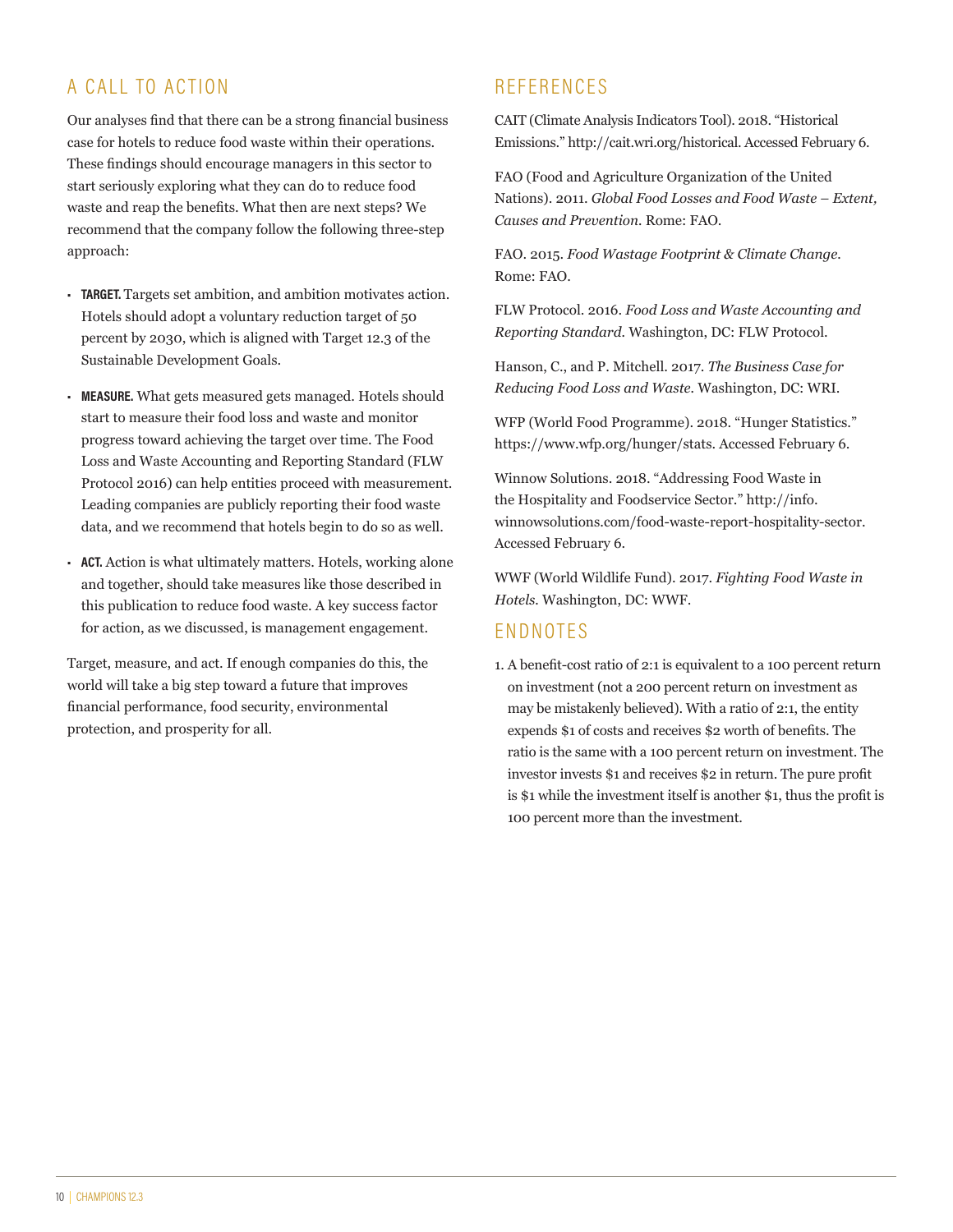# A CALL TO ACTION

Our analyses find that there can be a strong financial business case for hotels to reduce food waste within their operations. These findings should encourage managers in this sector to start seriously exploring what they can do to reduce food waste and reap the benefits. What then are next steps? We recommend that the company follow the following three-step approach:

- **• TARGET.** Targets set ambition, and ambition motivates action. Hotels should adopt a voluntary reduction target of 50 percent by 2030, which is aligned with Target 12.3 of the Sustainable Development Goals.
- **• MEASURE.** What gets measured gets managed. Hotels should start to measure their food loss and waste and monitor progress toward achieving the target over time. The Food Loss and Waste Accounting and Reporting Standard (FLW Protocol 2016) can help entities proceed with measurement. Leading companies are publicly reporting their food waste data, and we recommend that hotels begin to do so as well.
- **• ACT.** Action is what ultimately matters. Hotels, working alone and together, should take measures like those described in this publication to reduce food waste. A key success factor for action, as we discussed, is management engagement.

Target, measure, and act. If enough companies do this, the world will take a big step toward a future that improves financial performance, food security, environmental protection, and prosperity for all.

# **REFERENCES**

CAIT (Climate Analysis Indicators Tool). 2018. "Historical Emissions." http://cait.wri.org/historical. Accessed February 6.

FAO (Food and Agriculture Organization of the United Nations). 2011. *Global Food Losses and Food Waste – Extent, Causes and Prevention.* Rome: FAO.

FAO. 2015. *Food Wastage Footprint & Climate Change.* Rome: FAO.

FLW Protocol. 2016. *Food Loss and Waste Accounting and Reporting Standard.* Washington, DC: FLW Protocol.

Hanson, C., and P. Mitchell. 2017. *The Business Case for Reducing Food Loss and Waste.* Washington, DC: WRI.

WFP (World Food Programme). 2018. "Hunger Statistics." https://www.wfp.org/hunger/stats. Accessed February 6.

Winnow Solutions. 2018. "Addressing Food Waste in the Hospitality and Foodservice Sector." http://info. winnowsolutions.com/food-waste-report-hospitality-sector. Accessed February 6.

WWF (World Wildlife Fund). 2017. *Fighting Food Waste in Hotels.* Washington, DC: WWF.

# ENDNOTES

1. A benefit-cost ratio of 2:1 is equivalent to a 100 percent return on investment (not a 200 percent return on investment as may be mistakenly believed). With a ratio of 2:1, the entity expends \$1 of costs and receives \$2 worth of benefits. The ratio is the same with a 100 percent return on investment. The investor invests \$1 and receives \$2 in return. The pure profit is \$1 while the investment itself is another \$1, thus the profit is 100 percent more than the investment.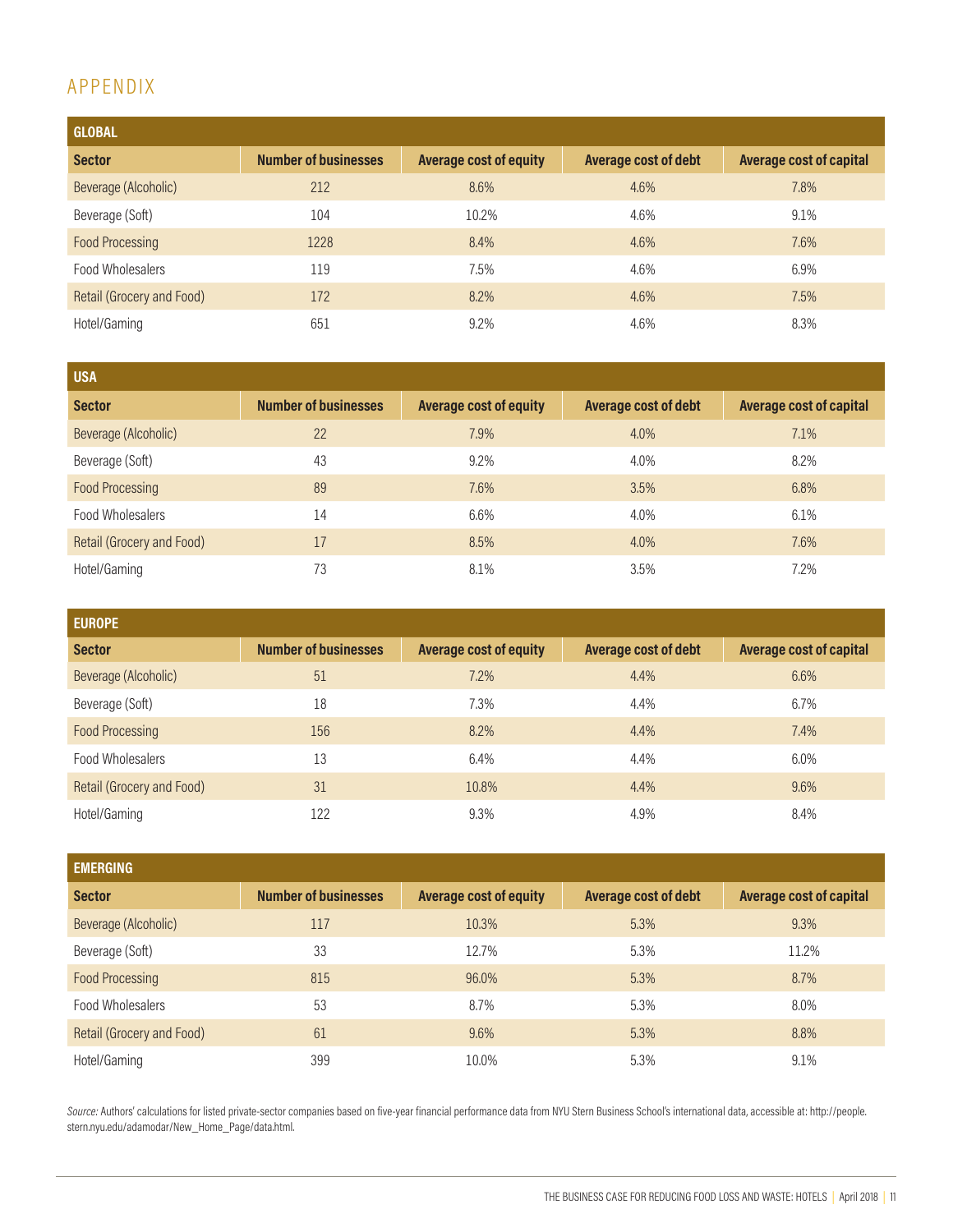# APPENDIX

| <b>GLOBAL</b>             |                             |                               |                      |                                |
|---------------------------|-----------------------------|-------------------------------|----------------------|--------------------------------|
| <b>Sector</b>             | <b>Number of businesses</b> | <b>Average cost of equity</b> | Average cost of debt | <b>Average cost of capital</b> |
| Beverage (Alcoholic)      | 212                         | 8.6%                          | 4.6%                 | 7.8%                           |
| Beverage (Soft)           | 104                         | 10.2%                         | 4.6%                 | 9.1%                           |
| <b>Food Processing</b>    | 1228                        | 8.4%                          | 4.6%                 | 7.6%                           |
| Food Wholesalers          | 119                         | 7.5%                          | 4.6%                 | 6.9%                           |
| Retail (Grocery and Food) | 172                         | 8.2%                          | 4.6%                 | 7.5%                           |
| Hotel/Gaming              | 651                         | 9.2%                          | 4.6%                 | 8.3%                           |

| <b>USA</b>                |                             |                               |                      |                                |
|---------------------------|-----------------------------|-------------------------------|----------------------|--------------------------------|
| <b>Sector</b>             | <b>Number of businesses</b> | <b>Average cost of equity</b> | Average cost of debt | <b>Average cost of capital</b> |
| Beverage (Alcoholic)      | 22                          | 7.9%                          | 4.0%                 | 7.1%                           |
| Beverage (Soft)           | 43                          | 9.2%                          | 4.0%                 | 8.2%                           |
| <b>Food Processing</b>    | 89                          | 7.6%                          | 3.5%                 | 6.8%                           |
| Food Wholesalers          | 14                          | 6.6%                          | 4.0%                 | 6.1%                           |
| Retail (Grocery and Food) | 17                          | 8.5%                          | 4.0%                 | 7.6%                           |
| Hotel/Gaming              | 73                          | 8.1%                          | 3.5%                 | 7.2%                           |

| <b>EUROPE</b>             |                             |                               |                      |                                |
|---------------------------|-----------------------------|-------------------------------|----------------------|--------------------------------|
| <b>Sector</b>             | <b>Number of businesses</b> | <b>Average cost of equity</b> | Average cost of debt | <b>Average cost of capital</b> |
| Beverage (Alcoholic)      | 51                          | 7.2%                          | 4.4%                 | 6.6%                           |
| Beverage (Soft)           | 18                          | 7.3%                          | 4.4%                 | 6.7%                           |
| <b>Food Processing</b>    | 156                         | 8.2%                          | 4.4%                 | 7.4%                           |
| Food Wholesalers          | 13                          | 6.4%                          | 4.4%                 | 6.0%                           |
| Retail (Grocery and Food) | 31                          | 10.8%                         | 4.4%                 | 9.6%                           |
| Hotel/Gaming              | 122                         | 9.3%                          | 4.9%                 | 8.4%                           |

| <b>EMERGING</b>           |                             |                               |                             |                                |
|---------------------------|-----------------------------|-------------------------------|-----------------------------|--------------------------------|
| <b>Sector</b>             | <b>Number of businesses</b> | <b>Average cost of equity</b> | <b>Average cost of debt</b> | <b>Average cost of capital</b> |
| Beverage (Alcoholic)      | 117                         | 10,3%                         | 5.3%                        | 9.3%                           |
| Beverage (Soft)           | 33                          | 12.7%                         | 5.3%                        | 11.2%                          |
| <b>Food Processing</b>    | 815                         | 96,0%                         | 5.3%                        | 8.7%                           |
| Food Wholesalers          | 53                          | 8.7%                          | 5.3%                        | 8.0%                           |
| Retail (Grocery and Food) | 61                          | 9.6%                          | 5.3%                        | 8.8%                           |
| Hotel/Gaming              | 399                         | 10.0%                         | 5.3%                        | 9.1%                           |

Source: Authors' calculations for listed private-sector companies based on five-year financial performance data from NYU Stern Business School's international data, accessible at: http://people. stern.nyu.edu/adamodar/New\_Home\_Page/data.html.